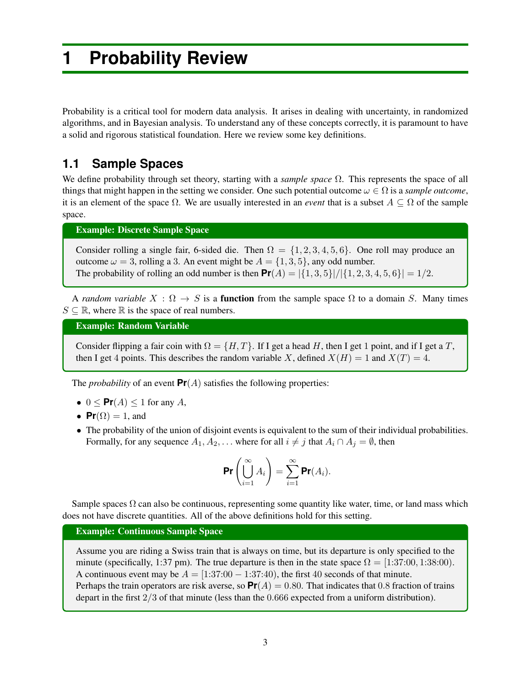# **1 Probability Review**

Probability is a critical tool for modern data analysis. It arises in dealing with uncertainty, in randomized algorithms, and in Bayesian analysis. To understand any of these concepts correctly, it is paramount to have a solid and rigorous statistical foundation. Here we review some key definitions.

# **1.1 Sample Spaces**

We define probability through set theory, starting with a *sample space*  $\Omega$ . This represents the space of all things that might happen in the setting we consider. One such potential outcome  $\omega \in \Omega$  is a *sample outcome*, it is an element of the space  $\Omega$ . We are usually interested in an *event* that is a subset  $A \subseteq \Omega$  of the sample space.

Example: Discrete Sample Space

Consider rolling a single fair, 6-sided die. Then  $\Omega = \{1, 2, 3, 4, 5, 6\}$ . One roll may produce an outcome  $\omega = 3$ , rolling a 3. An event might be  $A = \{1, 3, 5\}$ , any odd number. The probability of rolling an odd number is then  $Pr(A) = |\{1, 3, 5\}| / |\{1, 2, 3, 4, 5, 6\}| = 1/2$ .

A *random variable*  $X : \Omega \to S$  is a **function** from the sample space  $\Omega$  to a domain *S*. Many times  $S \subseteq \mathbb{R}$ , where  $\mathbb R$  is the space of real numbers.

Example: Random Variable

Consider flipping a fair coin with  $\Omega = \{H, T\}$ . If I get a head *H*, then I get 1 point, and if I get a *T*, then I get 4 points. This describes the random variable X, defined  $X(H) = 1$  and  $X(T) = 4$ .

The *probability* of an event  $Pr(A)$  satisfies the following properties:

- $0 \leq \text{Pr}(A) \leq 1$  for any *A*,
- $Pr(\Omega) = 1$ , and
- The probability of the union of disjoint events is equivalent to the sum of their individual probabilities. Formally, for any sequence  $A_1, A_2, \ldots$  where for all  $i \neq j$  that  $A_i \cap A_j = \emptyset$ , then

$$
\Pr\left(\bigcup_{i=1}^\infty A_i\right)=\sum_{i=1}^\infty \Pr(A_i).
$$

Sample spaces  $\Omega$  can also be continuous, representing some quantity like water, time, or land mass which does not have discrete quantities. All of the above definitions hold for this setting.

#### Example: Continuous Sample Space

Assume you are riding a Swiss train that is always on time, but its departure is only specified to the minute (specifically, 1:37 pm). The true departure is then in the state space  $\Omega = [1:37:00, 1:38:00)$ . A continuous event may be  $A = [1:37:00 - 1:37:40)$ , the first 40 seconds of that minute. Perhaps the train operators are risk averse, so  $Pr(A) = 0.80$ . That indicates that 0.8 fraction of trains depart in the first 2*/*3 of that minute (less than the 0*.*666 expected from a uniform distribution).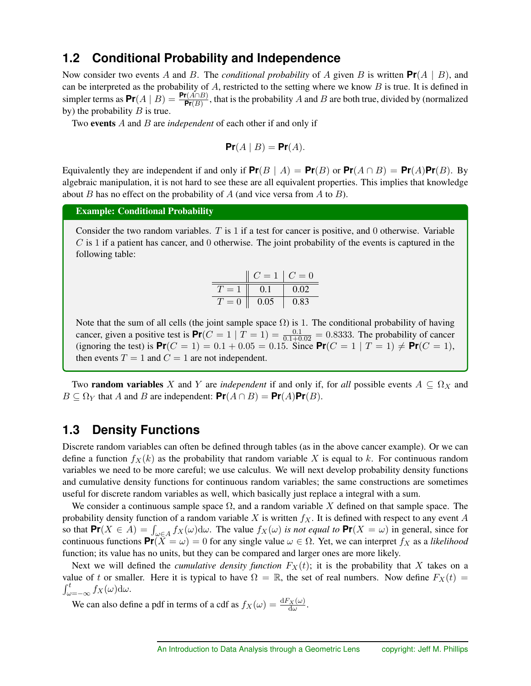### **1.2 Conditional Probability and Independence**

Now consider two events *A* and *B*. The *conditional probability* of *A* given *B* is written **Pr**(*A | B*), and can be interpreted as the probability of *A*, restricted to the setting where we know *B* is true. It is defined in simpler terms as  $Pr(A | B) =$  $\frac{\Pr(A \cap B)}{\Pr(B)}$ , that is the probability *A* and *B* are both true, divided by (normalized by) the probability *B* is true.

Two events *A* and *B* are *independent* of each other if and only if

$$
\Pr(A \mid B) = \Pr(A).
$$

Equivalently they are independent if and only if  $Pr(B \mid A) = Pr(B)$  or  $Pr(A \cap B) = Pr(A)Pr(B)$ . By algebraic manipulation, it is not hard to see these are all equivalent properties. This implies that knowledge about *B* has no effect on the probability of *A* (and vice versa from *A* to *B*).

Example: Conditional Probability

Consider the two random variables. *T* is 1 if a test for cancer is positive, and 0 otherwise. Variable *C* is 1 if a patient has cancer, and 0 otherwise. The joint probability of the events is captured in the following table:

|       | $\gamma = 1$ | $C=0$ |
|-------|--------------|-------|
|       | 0.1          | 0.02  |
| $= 0$ | 0.05         | 0.83  |

Note that the sum of all cells (the joint sample space  $\Omega$ ) is 1. The conditional probability of having cancer, given a positive test is  $Pr(C = 1 | T = 1) = \frac{0.1}{0.1 + 0.02} = 0.8333$ . The probability of cancer (ignoring the test) is  $Pr(C = 1) = 0.1 + 0.05 = 0.15$ . Since  $Pr(C = 1 | T = 1) \neq Pr(C = 1)$ , then events  $T = 1$  and  $C = 1$  are not independent.

Two **random variables** X and Y are *independent* if and only if, for *all* possible events  $A \subseteq \Omega_X$  and  $B \subseteq \Omega_Y$  that *A* and *B* are independent:  $Pr(A \cap B) = Pr(A)Pr(B)$ .

# **1.3 Density Functions**

Discrete random variables can often be defined through tables (as in the above cancer example). Or we can define a function  $f_X(k)$  as the probability that random variable X is equal to k. For continuous random variables we need to be more careful; we use calculus. We will next develop probability density functions and cumulative density functions for continuous random variables; the same constructions are sometimes useful for discrete random variables as well, which basically just replace a integral with a sum.

We consider a continuous sample space  $\Omega$ , and a random variable X defined on that sample space. The probability density function of a random variable *X* is written *fX*. It is defined with respect to any event *A* so that  $\mathbf{Pr}(X \in A) = \int_{\omega \in A} f_X(\omega) d\omega$ . The value  $f_X(\omega)$  is not equal to  $\mathbf{Pr}(X = \omega)$  in general, since for continuous functions  $Pr(X = \omega) = 0$  for any single value  $\omega \in \Omega$ . Yet, we can interpret  $f_X$  as a *likelihood* function; its value has no units, but they can be compared and larger ones are more likely.

Next we will defined the *cumulative density function*  $F_X(t)$ ; it is the probability that X takes on a value of *t* or smaller. Here it is typical to have  $\Omega = \mathbb{R}$ , the set of real numbers. Now define  $F_X(t) =$  $\int_{\omega=-\infty}^{t} f_X(\omega) d\omega.$ 

We can also define a pdf in terms of a cdf as  $f_X(\omega) = \frac{dF_X(\omega)}{d\omega}$ .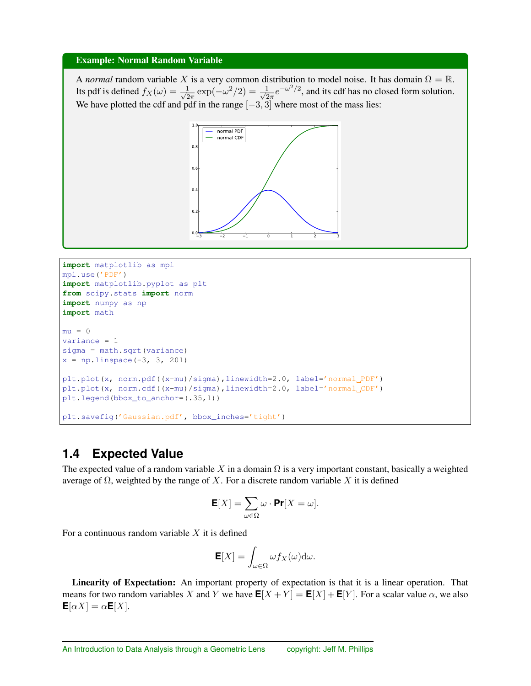#### Example: Normal Random Variable

A *normal* random variable X is a very common distribution to model noise. It has domain  $\Omega = \mathbb{R}$ . Its pdf is defined  $f_X(\omega) = \frac{1}{\sqrt{2\pi}} \exp(-\omega^2/2) = \frac{1}{\sqrt{2\pi}} e^{-\omega^2/2}$ , and its cdf has no closed form solution. We have plotted the cdf and pdf in the range  $[-3, 3]$  where most of the mass lies:



```
import matplotlib as mpl
mpl.use('PDF')
import matplotlib.pyplot as plt
from scipy.stats import norm
import numpy as np
import math
mu = 0variance = 1
sigma = math.sqrt(variance)
x = npu1inspace(-3, 3, 201)
plt.plot(x, norm.pdf((x-mu)/sigma),linewidth=2.0, label='normal PDF')
plt.plot(x, norm.cdf((x-mu)/sigma),linewidth=2.0, label='normal CDF')
plt.legend(bbox_to_anchor=(.35,1))
plt.savefig('Gaussian.pdf', bbox_inches='tight')
```
# **1.4 Expected Value**

The expected value of a random variable  $X$  in a domain  $\Omega$  is a very important constant, basically a weighted average of  $\Omega$ , weighted by the range of X. For a discrete random variable X it is defined

$$
\mathbf{E}[X] = \sum_{\omega \in \Omega} \omega \cdot \mathbf{Pr}[X = \omega].
$$

For a continuous random variable *X* it is defined

$$
\mathbf{E}[X] = \int_{\omega \in \Omega} \omega f_X(\omega) \mathrm{d}\omega.
$$

Linearity of Expectation: An important property of expectation is that it is a linear operation. That means for two random variables *X* and *Y* we have  $\mathbf{E}[X+Y] = \mathbf{E}[X] + \mathbf{E}[Y]$ . For a scalar value  $\alpha$ , we also  $\mathbf{E}[\alpha X] = \alpha \mathbf{E}[X].$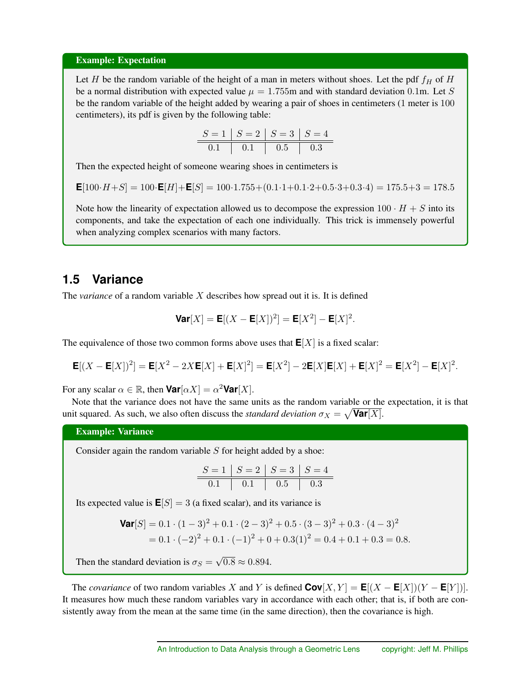#### Example: Expectation

Let *H* be the random variable of the height of a man in meters without shoes. Let the pdf  $f_H$  of  $H$ be a normal distribution with expected value  $\mu = 1.755$ m and with standard deviation 0.1m. Let *S* be the random variable of the height added by wearing a pair of shoes in centimeters (1 meter is 100 centimeters), its pdf is given by the following table:

$$
\begin{array}{c|c|c|c|c|c|c|c} S = 1 & S = 2 & S = 3 & S = 4 \\ \hline 0.1 & 0.1 & 0.5 & 0.3 \\ \end{array}
$$

Then the expected height of someone wearing shoes in centimeters is

$$
\mathsf{E}[100 \cdot H + S] = 100 \cdot \mathsf{E}[H] + \mathsf{E}[S] = 100 \cdot 1.755 + (0.1 \cdot 1 + 0.1 \cdot 2 + 0.5 \cdot 3 + 0.3 \cdot 4) = 175.5 + 3 = 178.5
$$

Note how the linearity of expectation allowed us to decompose the expression  $100 \cdot H + S$  into its components, and take the expectation of each one individually. This trick is immensely powerful when analyzing complex scenarios with many factors.

### **1.5 Variance**

The *variance* of a random variable *X* describes how spread out it is. It is defined

$$
\text{Var}[X] = \mathbf{E}[(X - \mathbf{E}[X])^2] = \mathbf{E}[X^2] - \mathbf{E}[X]^2.
$$

The equivalence of those two common forms above uses that  $E[X]$  is a fixed scalar:

$$
\mathbf{E}[(X - \mathbf{E}[X])^2] = \mathbf{E}[X^2 - 2X\mathbf{E}[X] + \mathbf{E}[X]^2] = \mathbf{E}[X^2] - 2\mathbf{E}[X]\mathbf{E}[X] + \mathbf{E}[X]^2 = \mathbf{E}[X^2] - \mathbf{E}[X]^2.
$$

For any scalar  $\alpha \in \mathbb{R}$ , then **Var**[ $\alpha X$ ] =  $\alpha^2$ **Var**[X].

Note that the variance does not have the same units as the random variable or the expectation, it is that unit squared. As such, we also often discuss the *standard deviation*  $\sigma_X = \sqrt{\text{Var}[X]}$ .

#### Example: Variance

Consider again the random variable *S* for height added by a shoe:

$$
\begin{array}{c|c|c|c|c|c|c|c} S = 1 & S = 2 & S = 3 & S = 4 \\ \hline 0.1 & 0.1 & 0.5 & 0.3 \\ \end{array}
$$

Its expected value is  $E[S]=3$  (a fixed scalar), and its variance is

$$
\mathbf{Var}[S] = 0.1 \cdot (1 - 3)^2 + 0.1 \cdot (2 - 3)^2 + 0.5 \cdot (3 - 3)^2 + 0.3 \cdot (4 - 3)^2
$$
  
= 0.1 \cdot (-2)^2 + 0.1 \cdot (-1)^2 + 0 + 0.3(1)^2 = 0.4 + 0.1 + 0.3 = 0.8.

Then the standard deviation is  $\sigma_S = \sqrt{0.8} \approx 0.894$ .

The *covariance* of two random variables *X* and *Y* is defined  $Cov[X, Y] = E[(X - E[X])(Y - E[Y])].$ It measures how much these random variables vary in accordance with each other; that is, if both are consistently away from the mean at the same time (in the same direction), then the covariance is high.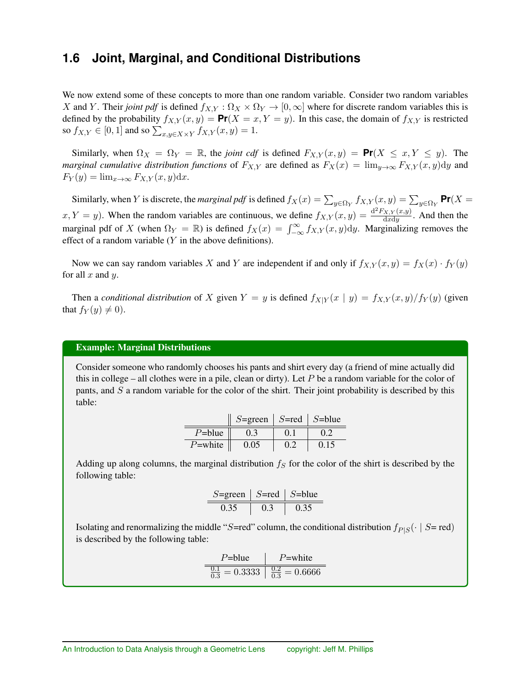### **1.6 Joint, Marginal, and Conditional Distributions**

We now extend some of these concepts to more than one random variable. Consider two random variables *X* and *Y*. Their *joint pdf* is defined  $f_{X,Y}$  :  $\Omega_X \times \Omega_Y \to [0,\infty]$  where for discrete random variables this is defined by the probability  $f_{X,Y}(x, y) = \text{Pr}(X = x, Y = y)$ . In this case, the domain of  $f_{X,Y}$  is restricted so  $f_{X,Y} \in [0,1]$  and so  $\sum_{x,y \in X \times Y} f_{X,Y}(x,y) = 1$ .

Similarly, when  $\Omega_X = \Omega_Y = \mathbb{R}$ , the *joint cdf* is defined  $F_{X,Y}(x,y) = \mathbb{P}r(X \leq x, Y \leq y)$ . The *marginal cumulative distribution functions* of  $F_{X,Y}$  are defined as  $F_X(x) = \lim_{y\to\infty} F_{X,Y}(x, y) dy$  and  $F_Y(y) = \lim_{x \to \infty} F_{X,Y}(x, y) dx.$ 

Similarly, when *Y* is discrete, the *marginal pdf* is defined  $f_X(x) = \sum_{y \in \Omega_Y} f_{X,Y}(x, y) = \sum_{y \in \Omega_Y} \mathbf{Pr}(X =$  $f_X, Y = y$ . When the random variables are continuous, we define  $f_{X,Y}(x, y) = \frac{d^2 F_{X,Y}(x, y)}{dx dy}$ . And then the marginal pdf of *X* (when  $\Omega_Y = \mathbb{R}$ ) is defined  $f_X(x) = \int_{-\infty}^{\infty} f_{X,Y}(x, y) dy$ . Marginalizing removes the effect of a random variable (*Y* in the above definitions).

Now we can say random variables *X* and *Y* are independent if and only if  $f_{X,Y}(x, y) = f_X(x) \cdot f_Y(y)$ for all *x* and *y*.

Then a *conditional distribution* of *X* given  $Y = y$  is defined  $f_{X|Y}(x | y) = f_{X,Y}(x, y) / f_Y(y)$  (given that  $f_Y(y) \neq 0$ .

#### Example: Marginal Distributions

Consider someone who randomly chooses his pants and shirt every day (a friend of mine actually did this in college – all clothes were in a pile, clean or dirty). Let *P* be a random variable for the color of pants, and *S* a random variable for the color of the shirt. Their joint probability is described by this table:

|            | $S = \text{green}$ | $S = red$ | $S = blue$ |
|------------|--------------------|-----------|------------|
| $P = blue$ | 0.3                |           |            |
| $P$ =white | 0.05               | 02        | 0.15       |

Adding up along columns, the marginal distribution  $f<sub>S</sub>$  for the color of the shirt is described by the following table:

$$
\begin{array}{c|c|c|c} S = \text{green} & S = \text{red} & S = \text{blue} \\ \hline 0.35 & 0.3 & 0.35 \end{array}
$$

Isolating and renormalizing the middle "*S*=red" column, the conditional distribution  $f_{P|S}(\cdot | S = red)$ is described by the following table:

$$
\begin{array}{c|c}\n\text{P=blue} & \text{P=white} \\
\hline\n\frac{0.1}{0.3} = 0.3333 & \frac{0.2}{0.3} = 0.6666\n\end{array}
$$

Ë